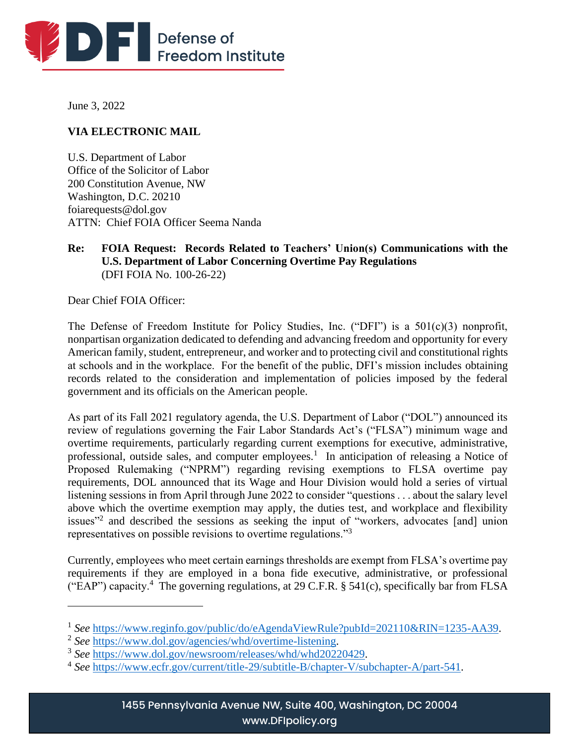

June 3, 2022

## **VIA ELECTRONIC MAIL**

U.S. Department of Labor Office of the Solicitor of Labor 200 Constitution Avenue, NW Washington, D.C. 20210 foiarequests@dol.gov ATTN: Chief FOIA Officer Seema Nanda

### **Re: FOIA Request: Records Related to Teachers' Union(s) Communications with the U.S. Department of Labor Concerning Overtime Pay Regulations** (DFI FOIA No. 100-26-22)

Dear Chief FOIA Officer:

The Defense of Freedom Institute for Policy Studies, Inc. ("DFI") is a 501(c)(3) nonprofit, nonpartisan organization dedicated to defending and advancing freedom and opportunity for every American family, student, entrepreneur, and worker and to protecting civil and constitutional rights at schools and in the workplace. For the benefit of the public, DFI's mission includes obtaining records related to the consideration and implementation of policies imposed by the federal government and its officials on the American people.

As part of its Fall 2021 regulatory agenda, the U.S. Department of Labor ("DOL") announced its review of regulations governing the Fair Labor Standards Act's ("FLSA") minimum wage and overtime requirements, particularly regarding current exemptions for executive, administrative, professional, outside sales, and computer employees.<sup>1</sup> In anticipation of releasing a Notice of Proposed Rulemaking ("NPRM") regarding revising exemptions to FLSA overtime pay requirements, DOL announced that its Wage and Hour Division would hold a series of virtual listening sessions in from April through June 2022 to consider "questions . . . about the salary level above which the overtime exemption may apply, the duties test, and workplace and flexibility issues<sup>"2</sup> and described the sessions as seeking the input of "workers, advocates [and] union representatives on possible revisions to overtime regulations."<sup>3</sup>

Currently, employees who meet certain earnings thresholds are exempt from FLSA's overtime pay requirements if they are employed in a bona fide executive, administrative, or professional ("EAP") capacity.<sup>4</sup> The governing regulations, at 29 C.F.R. § 541(c), specifically bar from FLSA

<sup>&</sup>lt;sup>1</sup> See [https://www.reginfo.gov/public/do/eAgendaViewRule?pubId=202110&RIN=1235-AA39.](https://www.reginfo.gov/public/do/eAgendaViewRule?pubId=202110&RIN=1235-AA39)

<sup>2</sup> *See* [https://www.dol.gov/agencies/whd/overtime-listening.](https://www.dol.gov/agencies/whd/overtime-listening)

<sup>3</sup> *See* [https://www.dol.gov/newsroom/releases/whd/whd20220429.](https://www.dol.gov/newsroom/releases/whd/whd20220429)

<sup>4</sup> *See* [https://www.ecfr.gov/current/title-29/subtitle-B/chapter-V/subchapter-A/part-541.](https://www.ecfr.gov/current/title-29/subtitle-B/chapter-V/subchapter-A/part-541)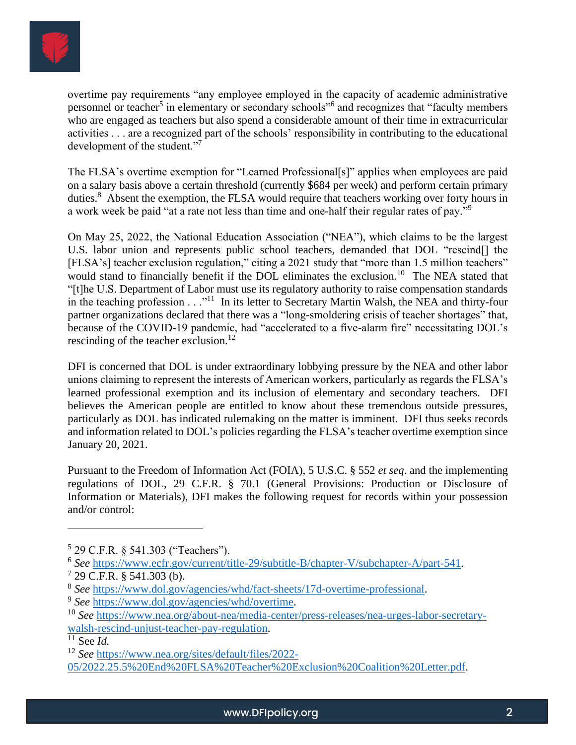

overtime pay requirements "any employee employed in the capacity of academic administrative personnel or teacher<sup>5</sup> in elementary or secondary schools<sup>"6</sup> and recognizes that "faculty members who are engaged as teachers but also spend a considerable amount of their time in extracurricular activities . . . are a recognized part of the schools' responsibility in contributing to the educational development of the student."<sup>7</sup>

The FLSA's overtime exemption for "Learned Professional[s]" applies when employees are paid on a salary basis above a certain threshold (currently \$684 per week) and perform certain primary duties.<sup>8</sup> Absent the exemption, the FLSA would require that teachers working over forty hours in a work week be paid "at a rate not less than time and one-half their regular rates of pay."<sup>9</sup>

On May 25, 2022, the National Education Association ("NEA"), which claims to be the largest U.S. labor union and represents public school teachers, demanded that DOL "rescind[] the [FLSA's] teacher exclusion regulation," citing a 2021 study that "more than 1.5 million teachers" would stand to financially benefit if the DOL eliminates the exclusion.<sup>10</sup> The NEA stated that "[t]he U.S. Department of Labor must use its regulatory authority to raise compensation standards in the teaching profession . . ."<sup>11</sup> In its letter to Secretary Martin Walsh, the NEA and thirty-four partner organizations declared that there was a "long-smoldering crisis of teacher shortages" that, because of the COVID-19 pandemic, had "accelerated to a five-alarm fire" necessitating DOL's rescinding of the teacher exclusion.<sup>12</sup>

DFI is concerned that DOL is under extraordinary lobbying pressure by the NEA and other labor unions claiming to represent the interests of American workers, particularly as regards the FLSA's learned professional exemption and its inclusion of elementary and secondary teachers. DFI believes the American people are entitled to know about these tremendous outside pressures, particularly as DOL has indicated rulemaking on the matter is imminent. DFI thus seeks records and information related to DOL's policies regarding the FLSA's teacher overtime exemption since January 20, 2021.

Pursuant to the Freedom of Information Act (FOIA), 5 U.S.C. § 552 *et seq*. and the implementing regulations of DOL, 29 C.F.R. § 70.1 (General Provisions: Production or Disclosure of Information or Materials), DFI makes the following request for records within your possession and/or control:

<sup>5</sup> 29 C.F.R. § 541.303 ("Teachers").

<sup>&</sup>lt;sup>6</sup> See [https://www.ecfr.gov/current/title-29/subtitle-B/chapter-V/subchapter-A/part-541.](https://www.ecfr.gov/current/title-29/subtitle-B/chapter-V/subchapter-A/part-541)

 $7$  29 C.F.R. § 541.303 (b).

<sup>8</sup> *See* [https://www.dol.gov/agencies/whd/fact-sheets/17d-overtime-professional.](https://www.dol.gov/agencies/whd/fact-sheets/17d-overtime-professional)

<sup>9</sup> *See* [https://www.dol.gov/agencies/whd/overtime.](https://www.dol.gov/agencies/whd/overtime)

<sup>10</sup> *See* [https://www.nea.org/about-nea/media-center/press-releases/nea-urges-labor-secretary](https://www.nea.org/about-nea/media-center/press-releases/nea-urges-labor-secretary-walsh-rescind-unjust-teacher-pay-regulation)[walsh-rescind-unjust-teacher-pay-regulation.](https://www.nea.org/about-nea/media-center/press-releases/nea-urges-labor-secretary-walsh-rescind-unjust-teacher-pay-regulation)

<sup>11</sup> See *Id.*

<sup>12</sup> *See* [https://www.nea.org/sites/default/files/2022-](https://www.nea.org/sites/default/files/2022-05/2022.25.5%20End%20FLSA%20Teacher%20Exclusion%20Coalition%20Letter.pdf)

[<sup>05/2022.25.5%20</sup>End%20FLSA%20Teacher%20Exclusion%20Coalition%20Letter.pdf.](https://www.nea.org/sites/default/files/2022-05/2022.25.5%20End%20FLSA%20Teacher%20Exclusion%20Coalition%20Letter.pdf)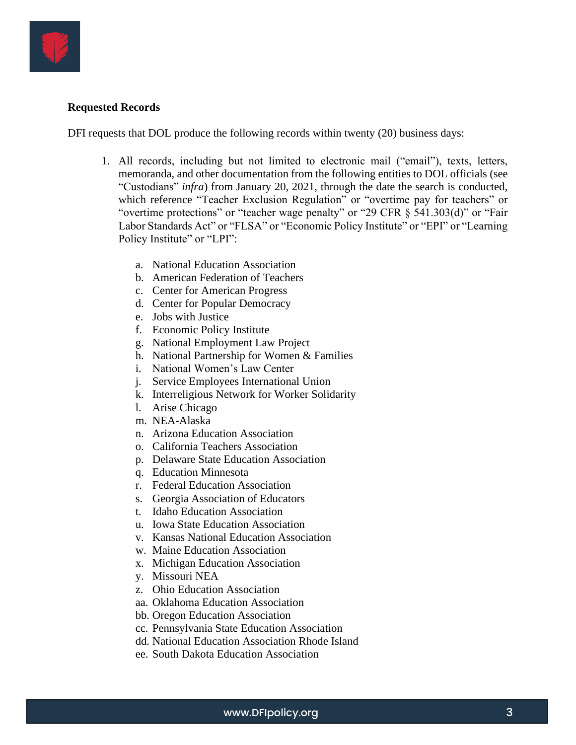

## **Requested Records**

DFI requests that DOL produce the following records within twenty (20) business days:

- 1. All records, including but not limited to electronic mail ("email"), texts, letters, memoranda, and other documentation from the following entities to DOL officials (see "Custodians" *infra*) from January 20, 2021, through the date the search is conducted, which reference "Teacher Exclusion Regulation" or "overtime pay for teachers" or "overtime protections" or "teacher wage penalty" or "29 CFR § 541.303(d)" or "Fair Labor Standards Act" or "FLSA" or "Economic Policy Institute" or "EPI" or "Learning Policy Institute" or "LPI":
	- a. National Education Association
	- b. American Federation of Teachers
	- c. Center for American Progress
	- d. Center for Popular Democracy
	- e. Jobs with Justice
	- f. Economic Policy Institute
	- g. National Employment Law Project
	- h. National Partnership for Women & Families
	- i. National Women's Law Center
	- j. Service Employees International Union
	- k. Interreligious Network for Worker Solidarity
	- l. Arise Chicago
	- m. NEA-Alaska
	- n. Arizona Education Association
	- o. California Teachers Association
	- p. Delaware State Education Association
	- q. Education Minnesota
	- r. Federal Education Association
	- s. Georgia Association of Educators
	- t. Idaho Education Association
	- u. Iowa State Education Association
	- v. Kansas National Education Association
	- w. Maine Education Association
	- x. Michigan Education Association
	- y. Missouri NEA
	- z. Ohio Education Association
	- aa. Oklahoma Education Association
	- bb. Oregon Education Association
	- cc. Pennsylvania State Education Association
	- dd. National Education Association Rhode Island
	- ee. South Dakota Education Association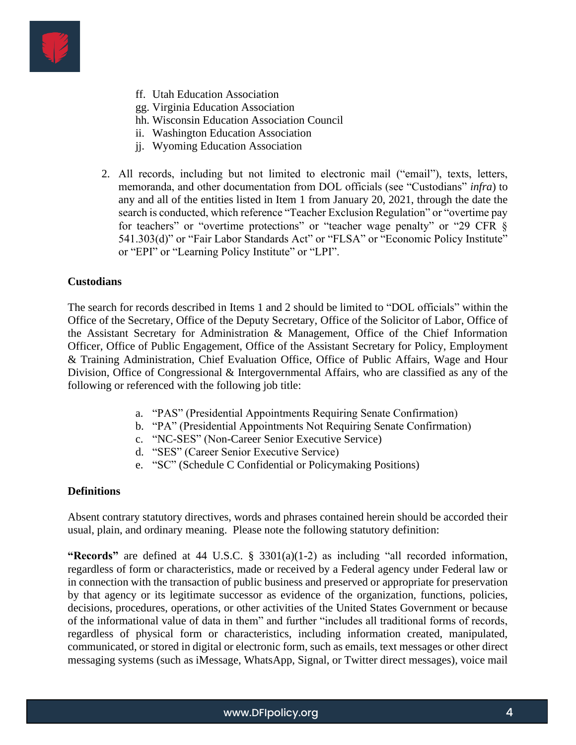

- ff. Utah Education Association
- gg. Virginia Education Association
- hh. Wisconsin Education Association Council
- ii. Washington Education Association
- jj. Wyoming Education Association
- 2. All records, including but not limited to electronic mail ("email"), texts, letters, memoranda, and other documentation from DOL officials (see "Custodians" *infra*) to any and all of the entities listed in Item 1 from January 20, 2021, through the date the search is conducted, which reference "Teacher Exclusion Regulation" or "overtime pay for teachers" or "overtime protections" or "teacher wage penalty" or "29 CFR § 541.303(d)" or "Fair Labor Standards Act" or "FLSA" or "Economic Policy Institute" or "EPI" or "Learning Policy Institute" or "LPI".

#### **Custodians**

The search for records described in Items 1 and 2 should be limited to "DOL officials" within the Office of the Secretary, Office of the Deputy Secretary, Office of the Solicitor of Labor, Office of the Assistant Secretary for Administration & Management, Office of the Chief Information Officer, Office of Public Engagement, Office of the Assistant Secretary for Policy, Employment & Training Administration, Chief Evaluation Office, Office of Public Affairs, Wage and Hour Division, Office of Congressional & Intergovernmental Affairs, who are classified as any of the following or referenced with the following job title:

- a. "PAS" (Presidential Appointments Requiring Senate Confirmation)
- b. "PA" (Presidential Appointments Not Requiring Senate Confirmation)
- c. "NC-SES" (Non-Career Senior Executive Service)
- d. "SES" (Career Senior Executive Service)
- e. "SC" (Schedule C Confidential or Policymaking Positions)

#### **Definitions**

Absent contrary statutory directives, words and phrases contained herein should be accorded their usual, plain, and ordinary meaning. Please note the following statutory definition:

**"Records"** are defined at 44 U.S.C. § 3301(a)(1-2) as including "all recorded information, regardless of form or characteristics, made or received by a Federal agency under Federal law or in connection with the transaction of public business and preserved or appropriate for preservation by that agency or its legitimate successor as evidence of the organization, functions, policies, decisions, procedures, operations, or other activities of the United States Government or because of the informational value of data in them" and further "includes all traditional forms of records, regardless of physical form or characteristics, including information created, manipulated, communicated, or stored in digital or electronic form, such as emails, text messages or other direct messaging systems (such as iMessage, WhatsApp, Signal, or Twitter direct messages), voice mail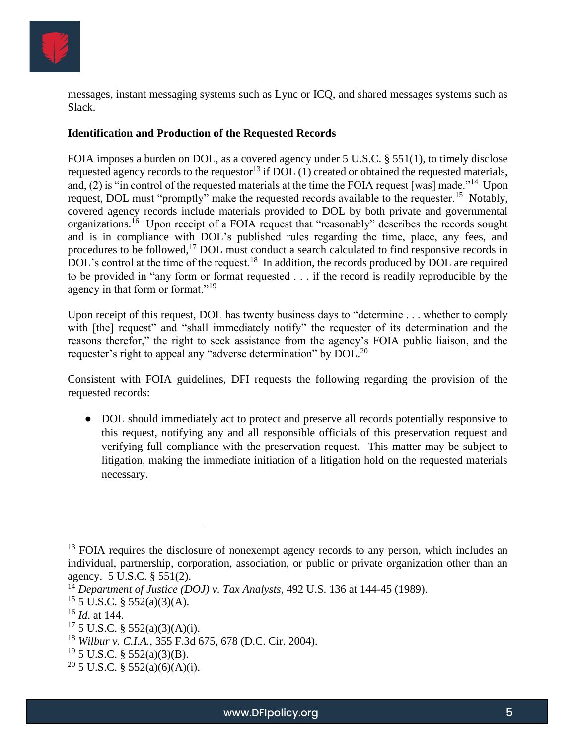

messages, instant messaging systems such as Lync or ICQ, and shared messages systems such as Slack.

## **Identification and Production of the Requested Records**

FOIA imposes a burden on DOL, as a covered agency under 5 U.S.C. § 551(1), to timely disclose requested agency records to the requestor<sup>13</sup> if DOL (1) created or obtained the requested materials, and, (2) is "in control of the requested materials at the time the FOIA request [was] made."<sup>14</sup> Upon request, DOL must "promptly" make the requested records available to the requester.<sup>15</sup> Notably, covered agency records include materials provided to DOL by both private and governmental organizations.<sup>16</sup> Upon receipt of a FOIA request that "reasonably" describes the records sought and is in compliance with DOL's published rules regarding the time, place, any fees, and procedures to be followed,<sup>17</sup> DOL must conduct a search calculated to find responsive records in DOL's control at the time of the request.<sup>18</sup> In addition, the records produced by DOL are required to be provided in "any form or format requested . . . if the record is readily reproducible by the agency in that form or format."<sup>19</sup>

Upon receipt of this request, DOL has twenty business days to "determine . . . whether to comply with [the] request" and "shall immediately notify" the requester of its determination and the reasons therefor," the right to seek assistance from the agency's FOIA public liaison, and the requester's right to appeal any "adverse determination" by DOL.<sup>20</sup>

Consistent with FOIA guidelines, DFI requests the following regarding the provision of the requested records:

● DOL should immediately act to protect and preserve all records potentially responsive to this request, notifying any and all responsible officials of this preservation request and verifying full compliance with the preservation request. This matter may be subject to litigation, making the immediate initiation of a litigation hold on the requested materials necessary.

<sup>&</sup>lt;sup>13</sup> FOIA requires the disclosure of nonexempt agency records to any person, which includes an individual, partnership, corporation, association, or public or private organization other than an agency. 5 U.S.C. § 551(2).

<sup>14</sup> *Department of Justice (DOJ) v. Tax Analysts*, 492 U.S. 136 at 144-45 (1989).

 $15$  5 U.S.C. § 552(a)(3)(A).

<sup>16</sup> *Id*. at 144.

<sup>17</sup> 5 U.S.C. § 552(a)(3)(A)(i).

<sup>18</sup> *Wilbur v. C.I.A.*, 355 F.3d 675, 678 (D.C. Cir. 2004).

 $19\,$  5 U.S.C. § 552(a)(3)(B).

<sup>&</sup>lt;sup>20</sup> 5 U.S.C. § 552(a)(6)(A)(i).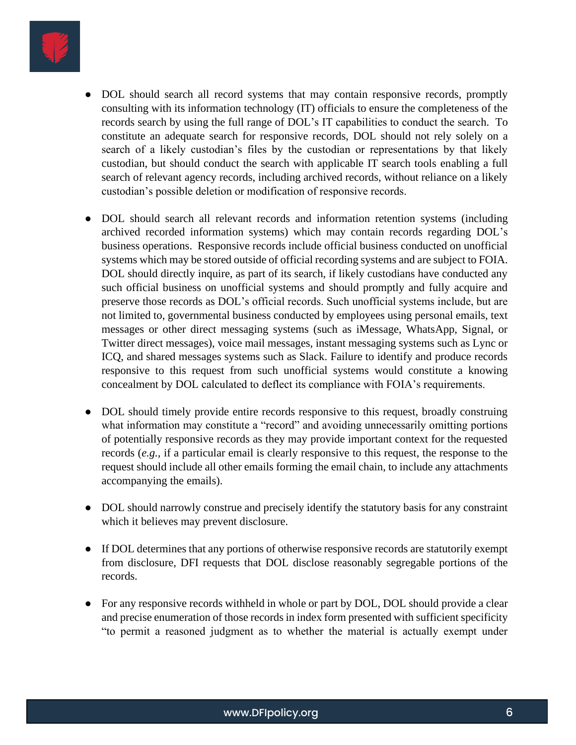

- DOL should search all record systems that may contain responsive records, promptly consulting with its information technology (IT) officials to ensure the completeness of the records search by using the full range of DOL's IT capabilities to conduct the search. To constitute an adequate search for responsive records, DOL should not rely solely on a search of a likely custodian's files by the custodian or representations by that likely custodian, but should conduct the search with applicable IT search tools enabling a full search of relevant agency records, including archived records, without reliance on a likely custodian's possible deletion or modification of responsive records.
- DOL should search all relevant records and information retention systems (including archived recorded information systems) which may contain records regarding DOL's business operations. Responsive records include official business conducted on unofficial systems which may be stored outside of official recording systems and are subject to FOIA. DOL should directly inquire, as part of its search, if likely custodians have conducted any such official business on unofficial systems and should promptly and fully acquire and preserve those records as DOL's official records. Such unofficial systems include, but are not limited to, governmental business conducted by employees using personal emails, text messages or other direct messaging systems (such as iMessage, WhatsApp, Signal, or Twitter direct messages), voice mail messages, instant messaging systems such as Lync or ICQ, and shared messages systems such as Slack. Failure to identify and produce records responsive to this request from such unofficial systems would constitute a knowing concealment by DOL calculated to deflect its compliance with FOIA's requirements.
- DOL should timely provide entire records responsive to this request, broadly construing what information may constitute a "record" and avoiding unnecessarily omitting portions of potentially responsive records as they may provide important context for the requested records (*e.g.,* if a particular email is clearly responsive to this request, the response to the request should include all other emails forming the email chain, to include any attachments accompanying the emails).
- DOL should narrowly construe and precisely identify the statutory basis for any constraint which it believes may prevent disclosure.
- If DOL determines that any portions of otherwise responsive records are statutorily exempt from disclosure, DFI requests that DOL disclose reasonably segregable portions of the records.
- For any responsive records withheld in whole or part by DOL, DOL should provide a clear and precise enumeration of those records in index form presented with sufficient specificity "to permit a reasoned judgment as to whether the material is actually exempt under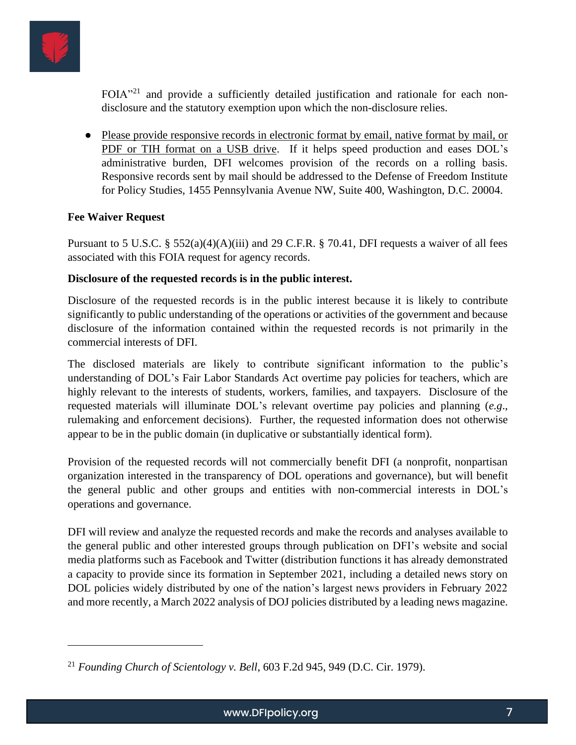

FOIA"<sup>21</sup> and provide a sufficiently detailed justification and rationale for each nondisclosure and the statutory exemption upon which the non-disclosure relies.

● Please provide responsive records in electronic format by email, native format by mail, or PDF or TIH format on a USB drive. If it helps speed production and eases DOL's administrative burden, DFI welcomes provision of the records on a rolling basis. Responsive records sent by mail should be addressed to the Defense of Freedom Institute for Policy Studies, 1455 Pennsylvania Avenue NW, Suite 400, Washington, D.C. 20004.

# **Fee Waiver Request**

Pursuant to 5 U.S.C. §  $552(a)(4)(A)(iii)$  and 29 C.F.R. § 70.41, DFI requests a waiver of all fees associated with this FOIA request for agency records.

## **Disclosure of the requested records is in the public interest.**

Disclosure of the requested records is in the public interest because it is likely to contribute significantly to public understanding of the operations or activities of the government and because disclosure of the information contained within the requested records is not primarily in the commercial interests of DFI.

The disclosed materials are likely to contribute significant information to the public's understanding of DOL's Fair Labor Standards Act overtime pay policies for teachers, which are highly relevant to the interests of students, workers, families, and taxpayers. Disclosure of the requested materials will illuminate DOL's relevant overtime pay policies and planning (*e.g*., rulemaking and enforcement decisions). Further, the requested information does not otherwise appear to be in the public domain (in duplicative or substantially identical form).

Provision of the requested records will not commercially benefit DFI (a nonprofit, nonpartisan organization interested in the transparency of DOL operations and governance), but will benefit the general public and other groups and entities with non-commercial interests in DOL's operations and governance.

DFI will review and analyze the requested records and make the records and analyses available to the general public and other interested groups through publication on DFI's website and social media platforms such as Facebook and Twitter (distribution functions it has already demonstrated a capacity to provide since its formation in September 2021, including a detailed news story on DOL policies widely distributed by one of the nation's largest news providers in February 2022 and more recently, a March 2022 analysis of DOJ policies distributed by a leading news magazine.

<sup>21</sup> *Founding Church of Scientology v. Bell*, 603 F.2d 945, 949 (D.C. Cir. 1979).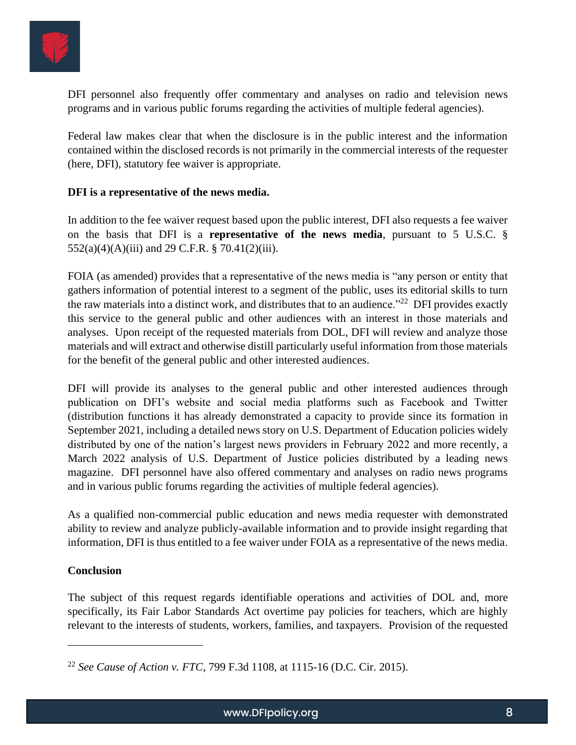

DFI personnel also frequently offer commentary and analyses on radio and television news programs and in various public forums regarding the activities of multiple federal agencies).

Federal law makes clear that when the disclosure is in the public interest and the information contained within the disclosed records is not primarily in the commercial interests of the requester (here, DFI), statutory fee waiver is appropriate.

### **DFI is a representative of the news media.**

In addition to the fee waiver request based upon the public interest, DFI also requests a fee waiver on the basis that DFI is a **representative of the news media**, pursuant to 5 U.S.C. §  $552(a)(4)(A)(iii)$  and 29 C.F.R. § 70.41(2)(iii).

FOIA (as amended) provides that a representative of the news media is "any person or entity that gathers information of potential interest to a segment of the public, uses its editorial skills to turn the raw materials into a distinct work, and distributes that to an audience."<sup>22</sup> DFI provides exactly this service to the general public and other audiences with an interest in those materials and analyses. Upon receipt of the requested materials from DOL, DFI will review and analyze those materials and will extract and otherwise distill particularly useful information from those materials for the benefit of the general public and other interested audiences.

DFI will provide its analyses to the general public and other interested audiences through publication on DFI's website and social media platforms such as Facebook and Twitter (distribution functions it has already demonstrated a capacity to provide since its formation in September 2021, including a detailed news story on U.S. Department of Education policies widely distributed by one of the nation's largest news providers in February 2022 and more recently, a March 2022 analysis of U.S. Department of Justice policies distributed by a leading news magazine. DFI personnel have also offered commentary and analyses on radio news programs and in various public forums regarding the activities of multiple federal agencies).

As a qualified non-commercial public education and news media requester with demonstrated ability to review and analyze publicly-available information and to provide insight regarding that information, DFI is thus entitled to a fee waiver under FOIA as a representative of the news media.

#### **Conclusion**

The subject of this request regards identifiable operations and activities of DOL and, more specifically, its Fair Labor Standards Act overtime pay policies for teachers, which are highly relevant to the interests of students, workers, families, and taxpayers. Provision of the requested

<sup>22</sup> *See Cause of Action v. FTC,* 799 F.3d 1108, at 1115-16 (D.C. Cir. 2015).